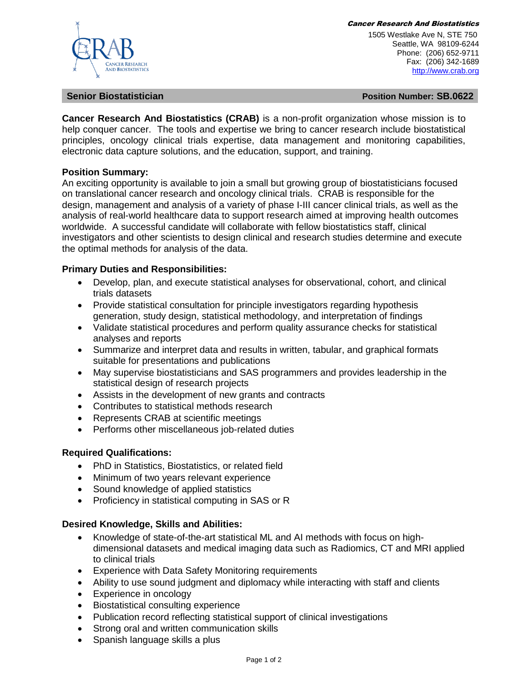#### Cancer Research And Biostatistics

**AND BIOSTATISTICS** 

 1505 Westlake Ave N, STE 750 Seattle, WA 98109-6244 Phone: (206) 652-9711 Fax: (206) 342-1689 [http://www.crab.org](http://www.crab.org/)

**Senior Biostatistician Position Number: SB.0622**

**Cancer Research And Biostatistics (CRAB)** is a non-profit organization whose mission is to help conquer cancer. The tools and expertise we bring to cancer research include biostatistical principles, oncology clinical trials expertise, data management and monitoring capabilities, electronic data capture solutions, and the education, support, and training.

# **Position Summary:**

An exciting opportunity is available to join a small but growing group of biostatisticians focused on translational cancer research and oncology clinical trials. CRAB is responsible for the design, management and analysis of a variety of phase I-III cancer clinical trials, as well as the analysis of real-world healthcare data to support research aimed at improving health outcomes worldwide. A successful candidate will collaborate with fellow biostatistics staff, clinical investigators and other scientists to design clinical and research studies determine and execute the optimal methods for analysis of the data.

# **Primary Duties and Responsibilities:**

- Develop, plan, and execute statistical analyses for observational, cohort, and clinical trials datasets
- Provide statistical consultation for principle investigators regarding hypothesis generation, study design, statistical methodology, and interpretation of findings
- Validate statistical procedures and perform quality assurance checks for statistical analyses and reports
- Summarize and interpret data and results in written, tabular, and graphical formats suitable for presentations and publications
- May supervise biostatisticians and SAS programmers and provides leadership in the statistical design of research projects
- Assists in the development of new grants and contracts
- Contributes to statistical methods research
- Represents CRAB at scientific meetings
- Performs other miscellaneous job-related duties

# **Required Qualifications:**

- PhD in Statistics, Biostatistics, or related field
- Minimum of two years relevant experience
- Sound knowledge of applied statistics
- Proficiency in statistical computing in SAS or R

### **Desired Knowledge, Skills and Abilities:**

- Knowledge of state-of-the-art statistical ML and AI methods with focus on highdimensional datasets and medical imaging data such as Radiomics, CT and MRI applied to clinical trials
- Experience with Data Safety Monitoring requirements
- Ability to use sound judgment and diplomacy while interacting with staff and clients
- Experience in oncology
- Biostatistical consulting experience
- Publication record reflecting statistical support of clinical investigations
- Strong oral and written communication skills
- Spanish language skills a plus